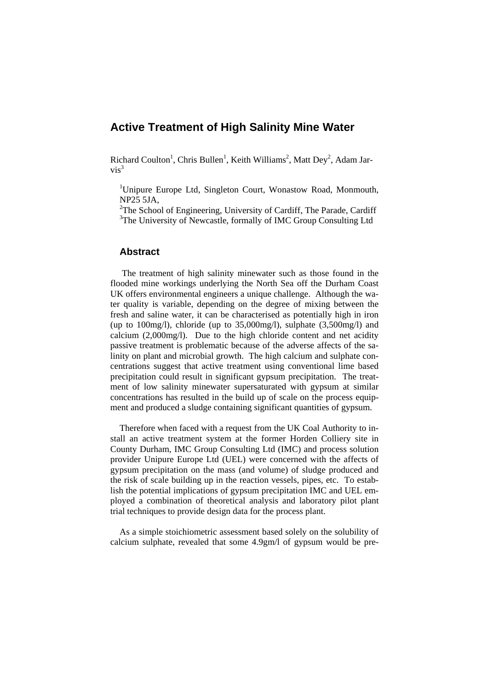# **Active Treatment of High Salinity Mine Water**

Richard Coulton<sup>1</sup>, Chris Bullen<sup>1</sup>, Keith Williams<sup>2</sup>, Matt Dey<sup>2</sup>, Adam Jar $vis^3$ 

<sup>1</sup>Unipure Europe Ltd, Singleton Court, Wonastow Road, Monmouth, NP25 5JA,

<sup>2</sup>The School of Engineering, University of Cardiff, The Parade, Cardiff <sup>3</sup>The University of Newcastle, formally of IMC Group Consulting Ltd

### **Abstract**

 The treatment of high salinity minewater such as those found in the flooded mine workings underlying the North Sea off the Durham Coast UK offers environmental engineers a unique challenge. Although the water quality is variable, depending on the degree of mixing between the fresh and saline water, it can be characterised as potentially high in iron (up to 100mg/l), chloride (up to 35,000mg/l), sulphate (3,500mg/l) and calcium (2,000mg/l). Due to the high chloride content and net acidity passive treatment is problematic because of the adverse affects of the salinity on plant and microbial growth. The high calcium and sulphate concentrations suggest that active treatment using conventional lime based precipitation could result in significant gypsum precipitation. The treatment of low salinity minewater supersaturated with gypsum at similar concentrations has resulted in the build up of scale on the process equipment and produced a sludge containing significant quantities of gypsum.

Therefore when faced with a request from the UK Coal Authority to install an active treatment system at the former Horden Colliery site in County Durham, IMC Group Consulting Ltd (IMC) and process solution provider Unipure Europe Ltd (UEL) were concerned with the affects of gypsum precipitation on the mass (and volume) of sludge produced and the risk of scale building up in the reaction vessels, pipes, etc. To establish the potential implications of gypsum precipitation IMC and UEL employed a combination of theoretical analysis and laboratory pilot plant trial techniques to provide design data for the process plant.

As a simple stoichiometric assessment based solely on the solubility of calcium sulphate, revealed that some 4.9gm/l of gypsum would be pre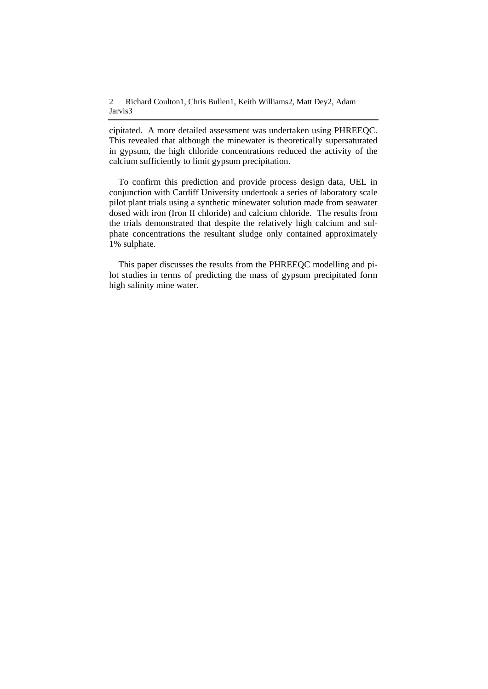cipitated. A more detailed assessment was undertaken using PHREEQC. This revealed that although the minewater is theoretically supersaturated in gypsum, the high chloride concentrations reduced the activity of the calcium sufficiently to limit gypsum precipitation.

To confirm this prediction and provide process design data, UEL in conjunction with Cardiff University undertook a series of laboratory scale pilot plant trials using a synthetic minewater solution made from seawater dosed with iron (Iron II chloride) and calcium chloride. The results from the trials demonstrated that despite the relatively high calcium and sulphate concentrations the resultant sludge only contained approximately 1% sulphate.

This paper discusses the results from the PHREEQC modelling and pilot studies in terms of predicting the mass of gypsum precipitated form high salinity mine water.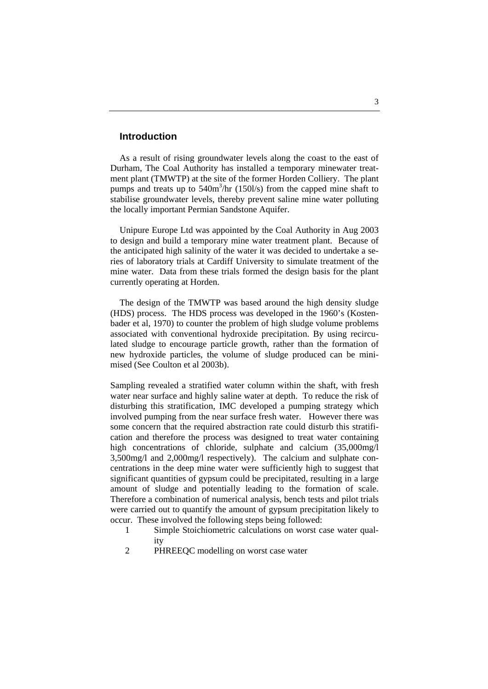#### **Introduction**

As a result of rising groundwater levels along the coast to the east of Durham, The Coal Authority has installed a temporary minewater treatment plant (TMWTP) at the site of the former Horden Colliery. The plant pumps and treats up to 540m<sup>3</sup>/hr (150l/s) from the capped mine shaft to stabilise groundwater levels, thereby prevent saline mine water polluting the locally important Permian Sandstone Aquifer.

Unipure Europe Ltd was appointed by the Coal Authority in Aug 2003 to design and build a temporary mine water treatment plant. Because of the anticipated high salinity of the water it was decided to undertake a series of laboratory trials at Cardiff University to simulate treatment of the mine water. Data from these trials formed the design basis for the plant currently operating at Horden.

The design of the TMWTP was based around the high density sludge (HDS) process. The HDS process was developed in the 1960's (Kostenbader et al, 1970) to counter the problem of high sludge volume problems associated with conventional hydroxide precipitation. By using recirculated sludge to encourage particle growth, rather than the formation of new hydroxide particles, the volume of sludge produced can be minimised (See Coulton et al 2003b).

Sampling revealed a stratified water column within the shaft, with fresh water near surface and highly saline water at depth. To reduce the risk of disturbing this stratification, IMC developed a pumping strategy which involved pumping from the near surface fresh water. However there was some concern that the required abstraction rate could disturb this stratification and therefore the process was designed to treat water containing high concentrations of chloride, sulphate and calcium (35,000mg/l) 3,500mg/l and 2,000mg/l respectively). The calcium and sulphate concentrations in the deep mine water were sufficiently high to suggest that significant quantities of gypsum could be precipitated, resulting in a large amount of sludge and potentially leading to the formation of scale. Therefore a combination of numerical analysis, bench tests and pilot trials were carried out to quantify the amount of gypsum precipitation likely to occur. These involved the following steps being followed:

- 1 Simple Stoichiometric calculations on worst case water quality
- 2 PHREEQC modelling on worst case water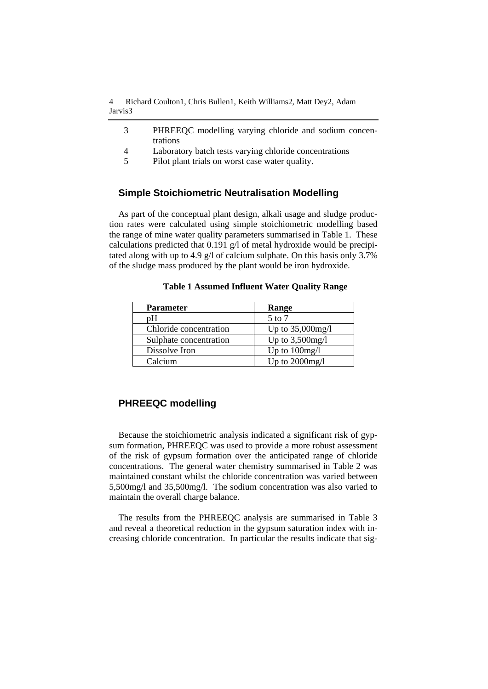4 Richard Coulton1, Chris Bullen1, Keith Williams2, Matt Dey2, Adam Jarvis3

- 3 PHREEQC modelling varying chloride and sodium concentrations
- 4 Laboratory batch tests varying chloride concentrations
- 5 Pilot plant trials on worst case water quality.

### **Simple Stoichiometric Neutralisation Modelling**

As part of the conceptual plant design, alkali usage and sludge production rates were calculated using simple stoichiometric modelling based the range of mine water quality parameters summarised in Table 1. These calculations predicted that 0.191 g/l of metal hydroxide would be precipitated along with up to 4.9 g/l of calcium sulphate. On this basis only 3.7% of the sludge mass produced by the plant would be iron hydroxide.

| <b>Parameter</b>       | Range              |
|------------------------|--------------------|
| pΗ                     | $5$ to $7$         |
| Chloride concentration | Up to 35,000mg/l   |
| Sulphate concentration | Up to $3,500$ mg/l |
| Dissolve Iron          | Up to $100$ mg/l   |
| Calcium                | Up to $2000$ mg/l  |

**Table 1 Assumed Influent Water Quality Range** 

### **PHREEQC modelling**

Because the stoichiometric analysis indicated a significant risk of gypsum formation, PHREEQC was used to provide a more robust assessment of the risk of gypsum formation over the anticipated range of chloride concentrations. The general water chemistry summarised in Table 2 was maintained constant whilst the chloride concentration was varied between 5,500mg/l and 35,500mg/l. The sodium concentration was also varied to maintain the overall charge balance.

The results from the PHREEQC analysis are summarised in Table 3 and reveal a theoretical reduction in the gypsum saturation index with increasing chloride concentration. In particular the results indicate that sig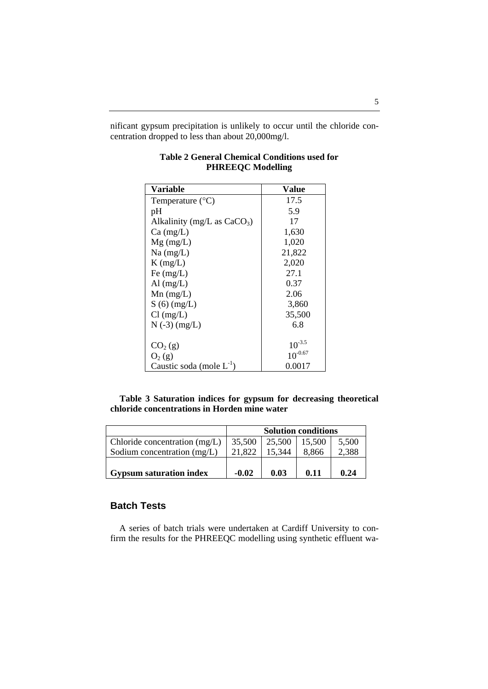nificant gypsum precipitation is unlikely to occur until the chloride concentration dropped to less than about 20,000mg/l.

| <b>Variable</b>               | Value        |
|-------------------------------|--------------|
| Temperature $(^{\circ}C)$     | 17.5         |
| pH                            | 5.9          |
| Alkalinity (mg/L as $CaCO3$ ) | 17           |
| $Ca \, (mg/L)$                | 1,630        |
| $Mg$ (mg/L)                   | 1,020        |
| $Na$ (mg/L)                   | 21,822       |
| $K$ (mg/L)                    | 2,020        |
| Fe $(mg/L)$                   | 27.1         |
| Al $(mg/L)$                   | 0.37         |
| $Mn$ (mg/L)                   | 2.06         |
| $S(6)$ (mg/L)                 | 3,860        |
| $Cl$ (mg/L)                   | 35,500       |
| $N(-3)$ (mg/L)                | 6.8          |
|                               |              |
| CO <sub>2</sub> (g)           | $10^{-3.5}$  |
| $O_2(g)$                      | $10^{-0.67}$ |
| Caustic soda (mole $L^{-1}$ ) | 0.0017       |

## **Table 2 General Chemical Conditions used for PHREEQC Modelling**

**Table 3 Saturation indices for gypsum for decreasing theoretical chloride concentrations in Horden mine water** 

|                                 | <b>Solution conditions</b> |        |        |       |
|---------------------------------|----------------------------|--------|--------|-------|
| Chloride concentration $(mg/L)$ | 35,500                     | 25,500 | 15,500 | 5,500 |
| Sodium concentration (mg/L)     | 21.822                     | 15,344 | 8,866  | 2,388 |
|                                 |                            |        |        |       |
| <b>Gypsum saturation index</b>  | $-0.02$                    | 0.03   | 0.11   | 0.24  |

# **Batch Tests**

 A series of batch trials were undertaken at Cardiff University to confirm the results for the PHREEQC modelling using synthetic effluent wa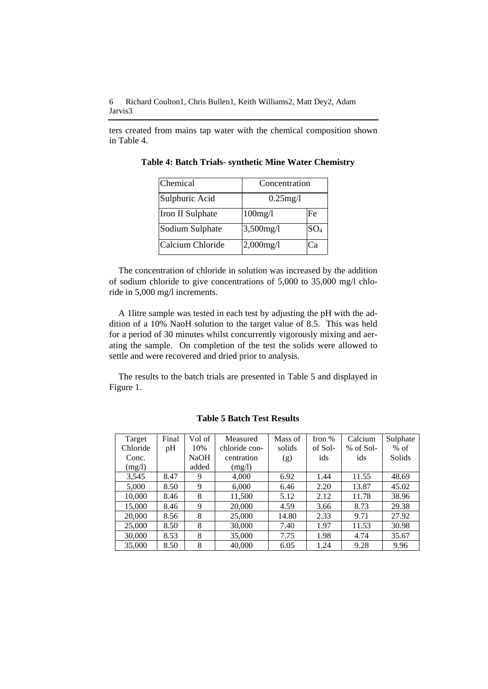ters created from mains tap water with the chemical composition shown in Table 4.

| Chemical         | Concentration |                 |  |
|------------------|---------------|-----------------|--|
| Sulphuric Acid   | $0.25$ mg/l   |                 |  |
| Iron II Sulphate | 100mg/l       | Fe              |  |
| Sodium Sulphate  | 3,500mg/l     | SO <sub>4</sub> |  |
| Calcium Chloride | $2,000$ mg/l  | Cа              |  |

**Table 4: Batch Trials- synthetic Mine Water Chemistry** 

The concentration of chloride in solution was increased by the addition of sodium chloride to give concentrations of 5,000 to 35,000 mg/l chloride in 5,000 mg/l increments.

A 1litre sample was tested in each test by adjusting the pH with the addition of a 10% NaoH solution to the target value of 8.5. This was held for a period of 30 minutes whilst concurrently vigorously mixing and aerating the sample. On completion of the test the solids were allowed to settle and were recovered and dried prior to analysis.

The results to the batch trials are presented in Table 5 and displayed in Figure 1.

| Target   | Final | Vol of      | Measured      | Mass of | Iron $%$ | Calcium     | Sulphate |
|----------|-------|-------------|---------------|---------|----------|-------------|----------|
| Chloride | pH    | 10%         | chloride con- | solids  | of Sol-  | $%$ of Sol- | $%$ of   |
| Conc.    |       | <b>NaOH</b> | centration    | (g)     | ids      | ids         | Solids   |
| (mg/l)   |       | added       | (mg/l)        |         |          |             |          |
| 3,545    | 8.47  | 9           | 4,000         | 6.92    | 1.44     | 11.55       | 48.69    |
| 5,000    | 8.50  | 9           | 6,000         | 6.46    | 2.20     | 13.87       | 45.02    |
| 10,000   | 8.46  | 8           | 11,500        | 5.12    | 2.12     | 11.78       | 38.96    |
| 15,000   | 8.46  | 9           | 20,000        | 4.59    | 3.66     | 8.73        | 29.38    |
| 20,000   | 8.56  | 8           | 25,000        | 14.80   | 2.33     | 9.71        | 27.92    |
| 25,000   | 8.50  | 8           | 30,000        | 7.40    | 1.97     | 11.53       | 30.98    |
| 30,000   | 8.53  | 8           | 35,000        | 7.75    | 1.98     | 4.74        | 35.67    |
| 35,000   | 8.50  | 8           | 40,000        | 6.05    | 1.24     | 9.28        | 9.96     |

**Table 5 Batch Test Results**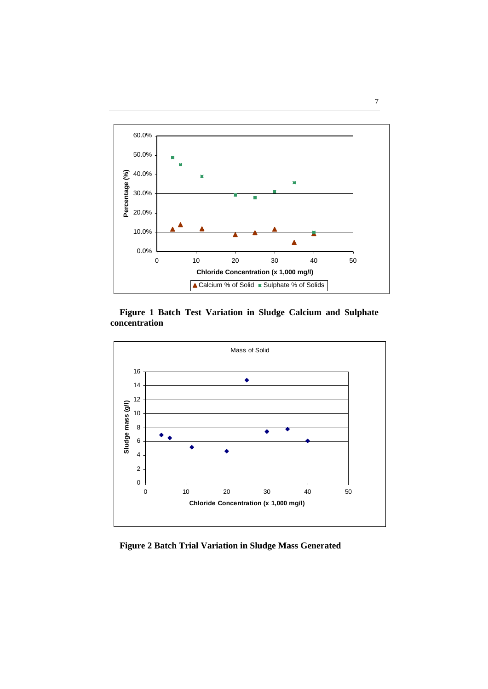

**Figure 1 Batch Test Variation in Sludge Calcium and Sulphate concentration** 



**Figure 2 Batch Trial Variation in Sludge Mass Generated** 

### 7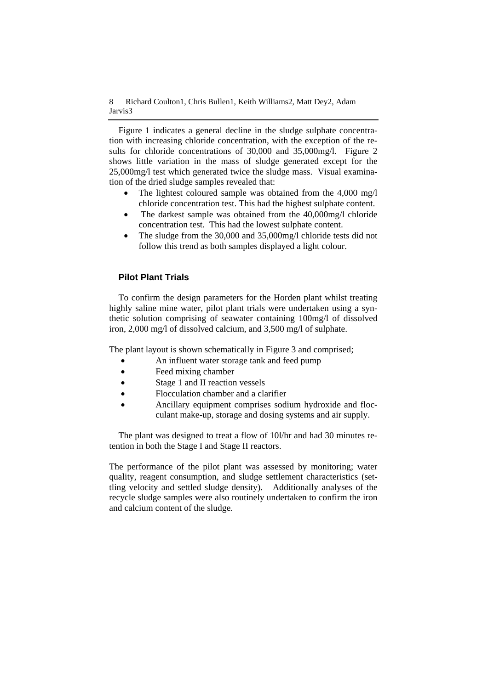Figure 1 indicates a general decline in the sludge sulphate concentration with increasing chloride concentration, with the exception of the results for chloride concentrations of 30,000 and 35,000mg/l. Figure 2 shows little variation in the mass of sludge generated except for the 25,000mg/l test which generated twice the sludge mass. Visual examination of the dried sludge samples revealed that:

- The lightest coloured sample was obtained from the 4,000 mg/l chloride concentration test. This had the highest sulphate content.
- The darkest sample was obtained from the 40,000mg/l chloride concentration test. This had the lowest sulphate content.
- The sludge from the 30,000 and 35,000mg/l chloride tests did not follow this trend as both samples displayed a light colour.

## **Pilot Plant Trials**

To confirm the design parameters for the Horden plant whilst treating highly saline mine water, pilot plant trials were undertaken using a synthetic solution comprising of seawater containing 100mg/l of dissolved iron, 2,000 mg/l of dissolved calcium, and 3,500 mg/l of sulphate.

The plant layout is shown schematically in Figure 3 and comprised;

- An influent water storage tank and feed pump
- Feed mixing chamber
- Stage 1 and II reaction vessels
- Flocculation chamber and a clarifier
- Ancillary equipment comprises sodium hydroxide and flocculant make-up, storage and dosing systems and air supply.

The plant was designed to treat a flow of 10l/hr and had 30 minutes retention in both the Stage I and Stage II reactors.

The performance of the pilot plant was assessed by monitoring; water quality, reagent consumption, and sludge settlement characteristics (settling velocity and settled sludge density). Additionally analyses of the recycle sludge samples were also routinely undertaken to confirm the iron and calcium content of the sludge.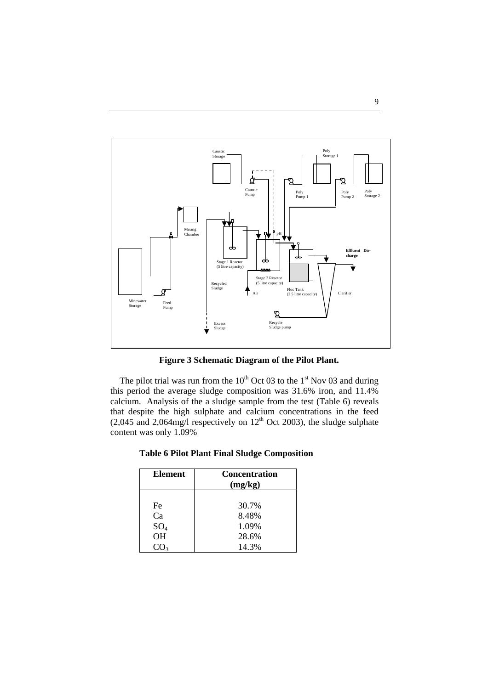

**Figure 3 Schematic Diagram of the Pilot Plant.** 

The pilot trial was run from the  $10^{th}$  Oct 03 to the 1<sup>st</sup> Nov 03 and during this period the average sludge composition was 31.6% iron, and 11.4% calcium. Analysis of the a sludge sample from the test (Table 6) reveals that despite the high sulphate and calcium concentrations in the feed (2,045 and 2,064mg/l respectively on  $12<sup>th</sup>$  Oct 2003), the sludge sulphate content was only 1.09%

|  |  |  | <b>Table 6 Pilot Plant Final Sludge Composition</b> |
|--|--|--|-----------------------------------------------------|
|  |  |  |                                                     |

| <b>Element</b>  | <b>Concentration</b><br>(mg/kg) |
|-----------------|---------------------------------|
|                 |                                 |
| Fe              | 30.7%                           |
| Ca              | 8.48%                           |
| SO <sub>4</sub> | 1.09%                           |
| OH              | 28.6%                           |
|                 | 14.3%                           |

9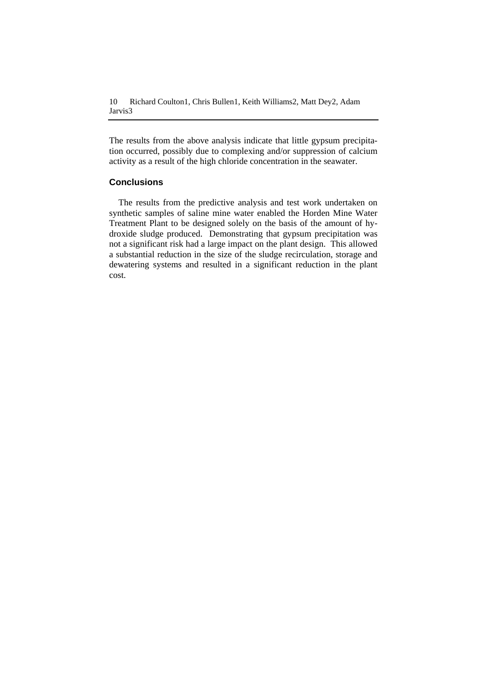10 Richard Coulton1, Chris Bullen1, Keith Williams2, Matt Dey2, Adam Jarvis3

The results from the above analysis indicate that little gypsum precipitation occurred, possibly due to complexing and/or suppression of calcium activity as a result of the high chloride concentration in the seawater.

### **Conclusions**

The results from the predictive analysis and test work undertaken on synthetic samples of saline mine water enabled the Horden Mine Water Treatment Plant to be designed solely on the basis of the amount of hydroxide sludge produced. Demonstrating that gypsum precipitation was not a significant risk had a large impact on the plant design. This allowed a substantial reduction in the size of the sludge recirculation, storage and dewatering systems and resulted in a significant reduction in the plant cost.